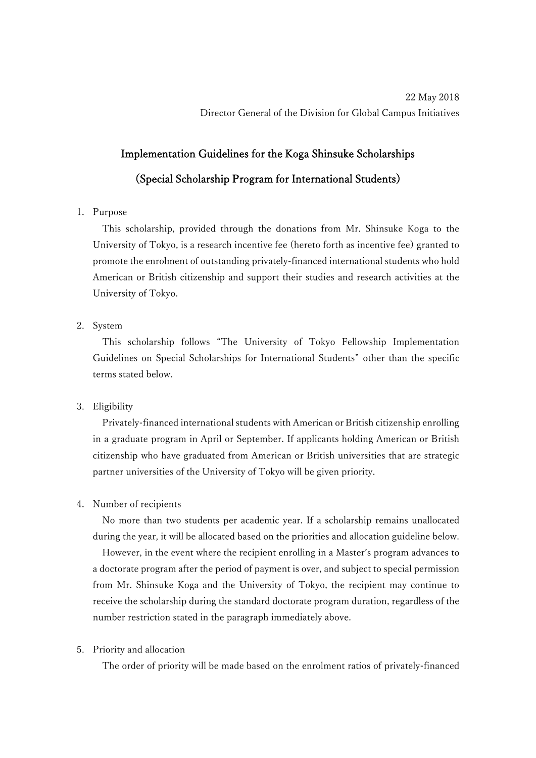# Implementation Guidelines for the Koga Shinsuke Scholarships

## (Special Scholarship Program for International Students)

#### 1. Purpose

This scholarship, provided through the donations from Mr. Shinsuke Koga to the University of Tokyo, is a research incentive fee (hereto forth as incentive fee) granted to promote the enrolment of outstanding privately-financed international students who hold American or British citizenship and support their studies and research activities at the University of Tokyo.

### 2. System

This scholarship follows "The University of Tokyo Fellowship Implementation Guidelines on Special Scholarships for International Students" other than the specific terms stated below.

### 3. Eligibility

Privately-financed international students with American or British citizenship enrolling in a graduate program in April or September. If applicants holding American or British citizenship who have graduated from American or British universities that are strategic partner universities of the University of Tokyo will be given priority.

### 4. Number of recipients

No more than two students per academic year. If a scholarship remains unallocated during the year, it will be allocated based on the priorities and allocation guideline below.

However, in the event where the recipient enrolling in a Master's program advances to a doctorate program after the period of payment is over, and subject to special permission from Mr. Shinsuke Koga and the University of Tokyo, the recipient may continue to receive the scholarship during the standard doctorate program duration, regardless of the number restriction stated in the paragraph immediately above.

### 5. Priority and allocation

The order of priority will be made based on the enrolment ratios of privately-financed